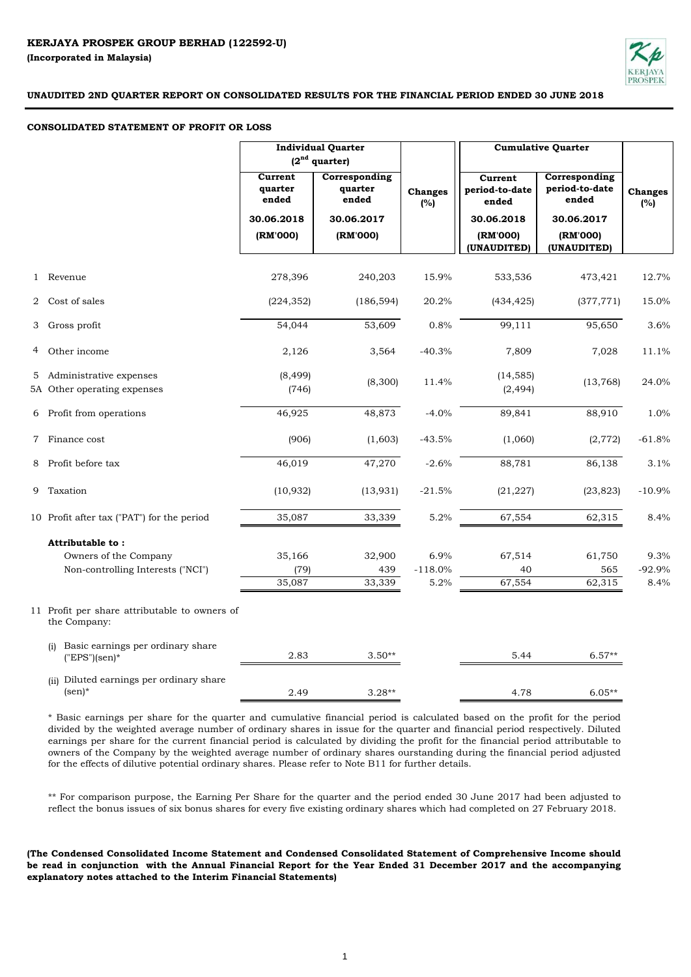

#### **CONSOLIDATED STATEMENT OF PROFIT OR LOSS**

|   |                                                               | <b>Individual Quarter</b><br>$(2nd$ quarter) |                                   |                       |                                    | <b>Cumulative Quarter</b>                |                       |
|---|---------------------------------------------------------------|----------------------------------------------|-----------------------------------|-----------------------|------------------------------------|------------------------------------------|-----------------------|
|   |                                                               | Current<br>quarter<br>ended                  | Corresponding<br>quarter<br>ended | <b>Changes</b><br>(%) | Current<br>period-to-date<br>ended | Corresponding<br>period-to-date<br>ended | <b>Changes</b><br>(%) |
|   |                                                               | 30.06.2018                                   | 30.06.2017                        |                       | 30.06.2018                         | 30.06.2017                               |                       |
|   |                                                               | (RM'000)                                     | (RM'000)                          |                       | (RM'000)<br>(UNAUDITED)            | (RM'000)<br>(UNAUDITED)                  |                       |
|   | 1 Revenue                                                     | 278,396                                      | 240,203                           | 15.9%                 | 533,536                            | 473,421                                  | 12.7%                 |
| 2 | Cost of sales                                                 | (224, 352)                                   | (186, 594)                        | 20.2%                 | (434, 425)                         | (377, 771)                               | 15.0%                 |
| 3 | Gross profit                                                  | 54,044                                       | 53,609                            | 0.8%                  | 99,111                             | 95,650                                   | 3.6%                  |
| 4 | Other income                                                  | 2,126                                        | 3,564                             | $-40.3%$              | 7,809                              | 7,028                                    | 11.1%                 |
|   | 5 Administrative expenses<br>5A Other operating expenses      | (8, 499)<br>(746)                            | (8,300)                           | 11.4%                 | (14, 585)<br>(2, 494)              | (13,768)                                 | 24.0%                 |
|   | 6 Profit from operations                                      | 46,925                                       | 48,873                            | $-4.0%$               | 89,841                             | 88,910                                   | 1.0%                  |
|   | 7 Finance cost                                                | (906)                                        | (1,603)                           | $-43.5%$              | (1,060)                            | (2,772)                                  | $-61.8%$              |
| 8 | Profit before tax                                             | 46,019                                       | 47,270                            | $-2.6%$               | 88,781                             | 86,138                                   | 3.1%                  |
|   | 9 Taxation                                                    | (10, 932)                                    | (13, 931)                         | $-21.5%$              | (21, 227)                          | (23, 823)                                | $-10.9%$              |
|   | 10 Profit after tax ("PAT") for the period                    | 35,087                                       | 33,339                            | 5.2%                  | 67,554                             | 62,315                                   | 8.4%                  |
|   | Attributable to:                                              |                                              |                                   |                       |                                    |                                          |                       |
|   | Owners of the Company                                         | 35,166                                       | 32,900                            | 6.9%                  | 67,514                             | 61,750                                   | 9.3%                  |
|   | Non-controlling Interests ("NCI")                             | (79)                                         | 439                               | $-118.0%$             | 40                                 | 565                                      | $-92.9%$              |
|   |                                                               | 35,087                                       | 33,339                            | 5.2%                  | 67,554                             | 62,315                                   | 8.4%                  |
|   | 11 Profit per share attributable to owners of<br>the Company: |                                              |                                   |                       |                                    |                                          |                       |
|   | Basic earnings per ordinary share<br>(i)<br>$("EPS")$ (sen)*  | 2.83                                         | $3.50**$                          |                       | 5.44                               | $6.57**$                                 |                       |
|   | (ii) Diluted earnings per ordinary share<br>$(sen)^*$         | 2.49                                         | $3.28**$                          |                       | 4.78                               | $6.05**$                                 |                       |

\* Basic earnings per share for the quarter and cumulative financial period is calculated based on the profit for the period divided by the weighted average number of ordinary shares in issue for the quarter and financial period respectively. Diluted earnings per share for the current financial period is calculated by dividing the profit for the financial period attributable to owners of the Company by the weighted average number of ordinary shares ourstanding during the financial period adjusted for the effects of dilutive potential ordinary shares. Please refer to Note B11 for further details.

\*\* For comparison purpose, the Earning Per Share for the quarter and the period ended 30 June 2017 had been adjusted to reflect the bonus issues of six bonus shares for every five existing ordinary shares which had completed on 27 February 2018.

**(The Condensed Consolidated Income Statement and Condensed Consolidated Statement of Comprehensive Income should** be read in conjunction with the Annual Financial Report for the Year Ended 31 December 2017 and the accompanying **explanatory notes attached to the Interim Financial Statements)**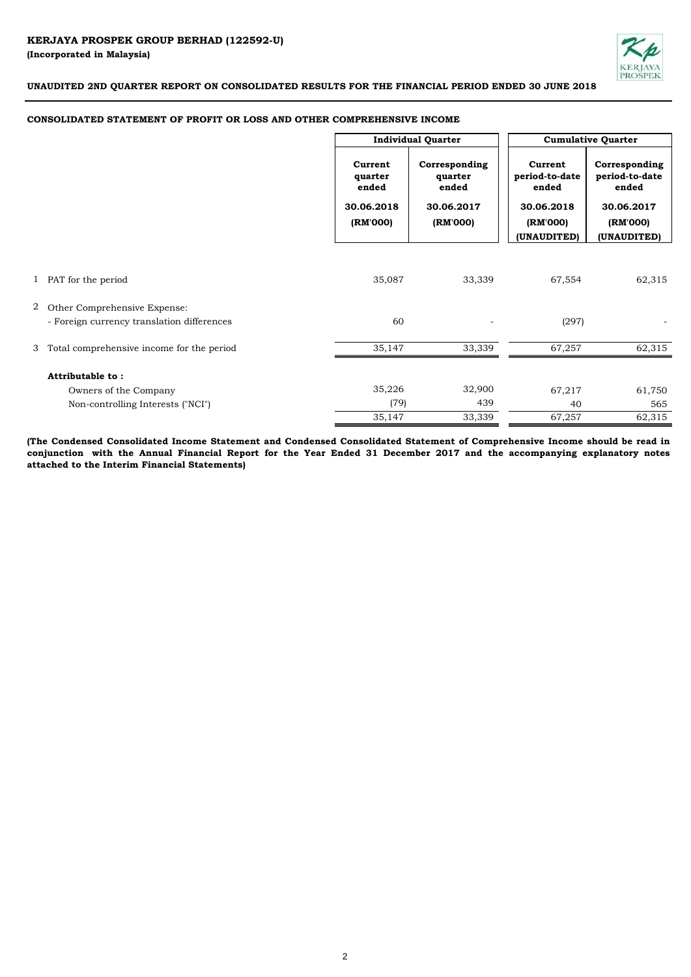

## **CONSOLIDATED STATEMENT OF PROFIT OR LOSS AND OTHER COMPREHENSIVE INCOME**

|                |                                                      | <b>Individual Quarter</b>                             |                                                             | <b>Cumulative Quarter</b>                                    |                                                                    |  |
|----------------|------------------------------------------------------|-------------------------------------------------------|-------------------------------------------------------------|--------------------------------------------------------------|--------------------------------------------------------------------|--|
|                |                                                      | Current<br>quarter<br>ended<br>30.06.2018<br>(RM'000) | Corresponding<br>quarter<br>ended<br>30.06.2017<br>(RM'000) | Current<br>period-to-date<br>ended<br>30.06.2018<br>(RM'000) | Corresponding<br>period-to-date<br>ended<br>30.06.2017<br>(RM'000) |  |
|                |                                                      |                                                       |                                                             | (UNAUDITED)                                                  | (UNAUDITED)                                                        |  |
| $\overline{2}$ | 1 PAT for the period<br>Other Comprehensive Expense: | 35,087                                                | 33,339                                                      | 67,554                                                       | 62,315                                                             |  |
|                | - Foreign currency translation differences           | 60                                                    |                                                             | (297)                                                        |                                                                    |  |
|                | 3 Total comprehensive income for the period          | 35,147                                                | 33,339                                                      | 67,257                                                       | 62,315                                                             |  |
|                | Attributable to:                                     |                                                       |                                                             |                                                              |                                                                    |  |
|                | Owners of the Company                                | 35,226                                                | 32,900                                                      | 67,217                                                       | 61,750                                                             |  |
|                | Non-controlling Interests ("NCI")                    | (79)                                                  | 439                                                         | 40                                                           | 565                                                                |  |
|                |                                                      | 35,147                                                | 33,339                                                      | 67,257                                                       | 62,315                                                             |  |

(The Condensed Consolidated Income Statement and Condensed Consolidated Statement of Comprehensive Income should be read in conjunction with the Annual Financial Report for the Year Ended 31 December 2017 and the accompanying explanatory notes **attached to the Interim Financial Statements)**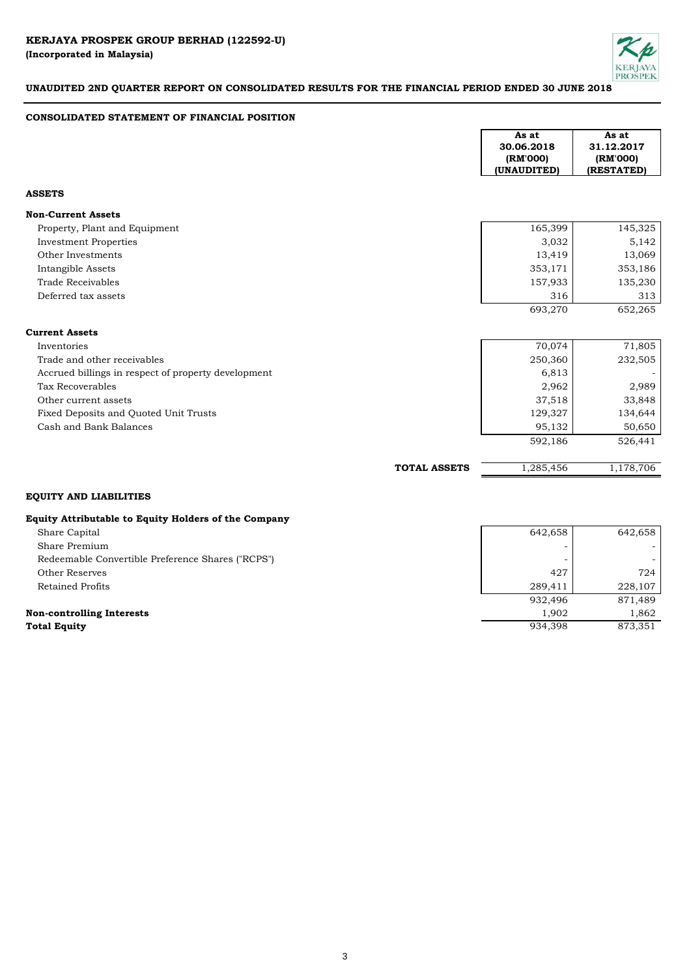

## **CONSOLIDATED STATEMENT OF FINANCIAL POSITION**

|                                                                        | As at<br>30.06.2018<br>(RM'000)<br>(UNAUDITED) | As at<br>31.12.2017<br>(RM'000)<br>(RESTATED) |
|------------------------------------------------------------------------|------------------------------------------------|-----------------------------------------------|
| <b>ASSETS</b>                                                          |                                                |                                               |
| <b>Non-Current Assets</b>                                              |                                                |                                               |
| Property, Plant and Equipment                                          | 165,399                                        | 145,325                                       |
| <b>Investment Properties</b>                                           | 3,032                                          | 5,142                                         |
| Other Investments                                                      | 13,419                                         | 13,069                                        |
| Intangible Assets                                                      | 353,171                                        | 353,186                                       |
| <b>Trade Receivables</b>                                               | 157,933                                        | 135,230                                       |
| Deferred tax assets                                                    | 316                                            | 313                                           |
|                                                                        | 693,270                                        | 652,265                                       |
| <b>Current Assets</b>                                                  |                                                |                                               |
| Inventories                                                            | 70,074                                         | 71,805                                        |
| Trade and other receivables                                            | 250,360                                        | 232,505                                       |
| Accrued billings in respect of property development                    | 6,813                                          |                                               |
| Tax Recoverables                                                       | 2,962                                          | 2,989                                         |
| Other current assets                                                   | 37,518                                         | 33,848                                        |
| Fixed Deposits and Quoted Unit Trusts                                  | 129,327                                        | 134,644                                       |
| Cash and Bank Balances                                                 | 95,132                                         | 50,650                                        |
|                                                                        | 592,186                                        | 526,441                                       |
| <b>TOTAL ASSETS</b>                                                    | 1,285,456                                      | 1,178,706                                     |
| <b>EQUITY AND LIABILITIES</b>                                          |                                                |                                               |
| Equity Attributable to Equity Holders of the Company<br>Chone Constant | 610650                                         | 610650                                        |

| Share Capital                                     | 642,658     | 642,658              |
|---------------------------------------------------|-------------|----------------------|
| Share Premium                                     |             |                      |
| Redeemable Convertible Preference Shares ("RCPS") |             |                      |
| Other Reserves                                    | 427         | 724                  |
| Retained Profits                                  | 289.411     | 228,107              |
|                                                   | 932.496     | 871.489              |
| $-1$                                              | $\sim$ 0.00 | $\sim$ $\sim$ $\sim$ |

# **Non-controlling Interests**

| Share Premium                                     |         |         |
|---------------------------------------------------|---------|---------|
| Redeemable Convertible Preference Shares ("RCPS") |         |         |
| Other Reserves                                    | 427     | 724     |
| Retained Profits                                  | 289.411 | 228,107 |
|                                                   | 932.496 | 871,489 |
| Non-controlling Interests                         | 1.902   | 1.862   |
| <b>Total Equity</b>                               | 934,398 | 873,351 |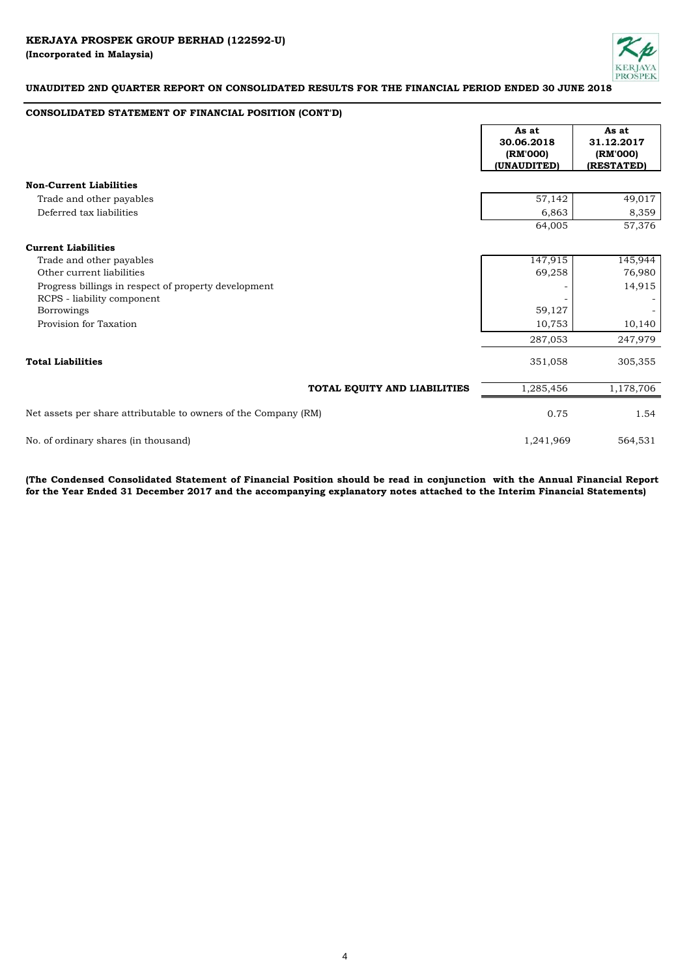

## **CONSOLIDATED STATEMENT OF FINANCIAL POSITION (CONT'D)**

|                                                                 | As at<br>30.06.2018<br>(RM'000)<br>(UNAUDITED) | As at<br>31.12.2017<br>(RM'000)<br>(RESTATED) |
|-----------------------------------------------------------------|------------------------------------------------|-----------------------------------------------|
| <b>Non-Current Liabilities</b>                                  |                                                |                                               |
| Trade and other payables                                        | 57,142                                         | 49,017                                        |
| Deferred tax liabilities                                        | 6,863                                          | 8,359                                         |
|                                                                 | 64,005                                         | 57,376                                        |
| <b>Current Liabilities</b>                                      |                                                |                                               |
| Trade and other payables                                        | 147,915                                        | 145,944                                       |
| Other current liabilities                                       | 69,258                                         | 76,980                                        |
| Progress billings in respect of property development            |                                                | 14,915                                        |
| RCPS - liability component                                      |                                                |                                               |
| <b>Borrowings</b>                                               | 59,127                                         |                                               |
| Provision for Taxation                                          | 10,753                                         | 10,140                                        |
|                                                                 | 287,053                                        | 247,979                                       |
| <b>Total Liabilities</b>                                        | 351,058                                        | 305,355                                       |
| TOTAL EQUITY AND LIABILITIES                                    | 1,285,456                                      | 1,178,706                                     |
| Net assets per share attributable to owners of the Company (RM) | 0.75                                           | 1.54                                          |
| No. of ordinary shares (in thousand)                            | 1,241,969                                      | 564,531                                       |

(The Condensed Consolidated Statement of Financial Position should be read in conjunction with the Annual Financial Report **for the Year Ended 31 December 2017 and the accompanying explanatory notes attached to the Interim Financial Statements)**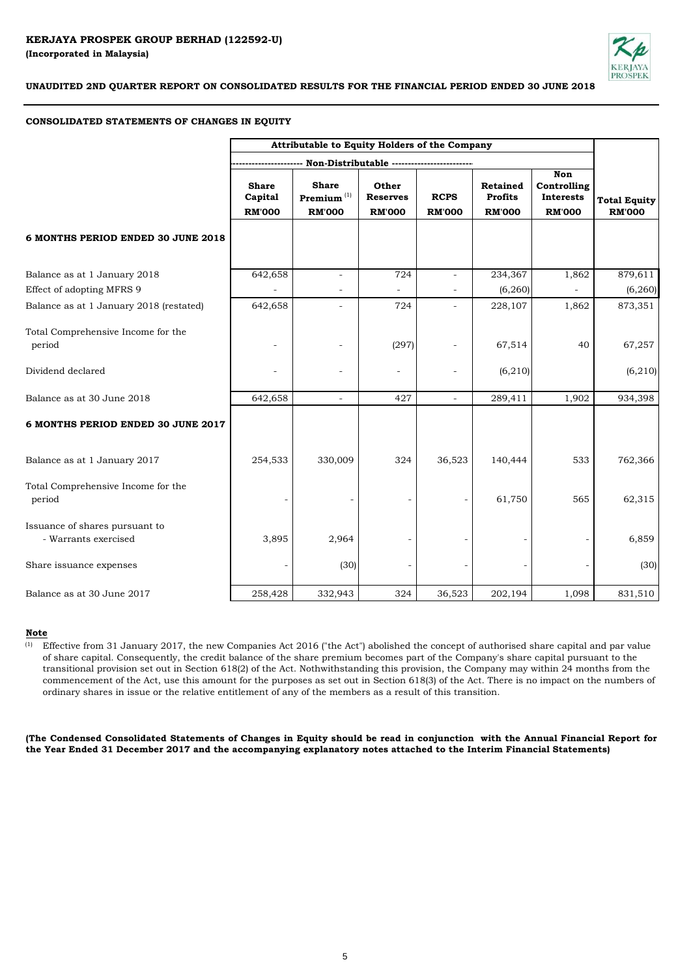

# **CONSOLIDATED STATEMENTS OF CHANGES IN EQUITY**

|                                                        | Attributable to Equity Holders of the Company |                                                           |                                           |                              |                                             |                                                         |                                      |
|--------------------------------------------------------|-----------------------------------------------|-----------------------------------------------------------|-------------------------------------------|------------------------------|---------------------------------------------|---------------------------------------------------------|--------------------------------------|
|                                                        |                                               | -- Non-Distributable ----------                           |                                           |                              |                                             |                                                         |                                      |
|                                                        | <b>Share</b><br>Capital<br><b>RM'000</b>      | <b>Share</b><br>$\mathbf{Premium}^{(1)}$<br><b>RM'000</b> | Other<br><b>Reserves</b><br><b>RM'000</b> | <b>RCPS</b><br><b>RM'000</b> | Retained<br><b>Profits</b><br><b>RM'000</b> | <b>Non</b><br>Controlling<br>Interests<br><b>RM'000</b> | <b>Total Equity</b><br><b>RM'000</b> |
| 6 MONTHS PERIOD ENDED 30 JUNE 2018                     |                                               |                                                           |                                           |                              |                                             |                                                         |                                      |
| Balance as at 1 January 2018                           | 642,658                                       | ÷                                                         | 724                                       |                              | 234,367                                     | 1,862                                                   | 879,611                              |
| Effect of adopting MFRS 9                              |                                               |                                                           |                                           |                              | (6, 260)                                    |                                                         | (6, 260)                             |
| Balance as at 1 January 2018 (restated)                | 642,658                                       |                                                           | 724                                       |                              | 228,107                                     | 1,862                                                   | 873,351                              |
| Total Comprehensive Income for the<br>period           |                                               | $\qquad \qquad -$                                         | (297)                                     |                              | 67,514                                      | 40                                                      | 67,257                               |
| Dividend declared                                      |                                               | $\overline{a}$                                            |                                           |                              | (6, 210)                                    |                                                         | (6, 210)                             |
| Balance as at 30 June 2018                             | 642,658                                       | ÷,                                                        | 427                                       |                              | 289,411                                     | 1,902                                                   | 934,398                              |
| 6 MONTHS PERIOD ENDED 30 JUNE 2017                     |                                               |                                                           |                                           |                              |                                             |                                                         |                                      |
| Balance as at 1 January 2017                           | 254,533                                       | 330,009                                                   | 324                                       | 36,523                       | 140,444                                     | 533                                                     | 762,366                              |
| Total Comprehensive Income for the<br>period           |                                               |                                                           |                                           |                              | 61,750                                      | 565                                                     | 62,315                               |
| Issuance of shares pursuant to<br>- Warrants exercised | 3,895                                         | 2,964                                                     |                                           |                              |                                             |                                                         | 6,859                                |
| Share issuance expenses                                |                                               | (30)                                                      |                                           |                              |                                             |                                                         | (30)                                 |
| Balance as at 30 June 2017                             | 258,428                                       | 332,943                                                   | 324                                       | 36,523                       | 202,194                                     | 1,098                                                   | 831,510                              |

# **Note**

(1) Effective from 31 January 2017, the new Companies Act 2016 ("the Act") abolished the concept of authorised share capital and par value of share capital. Consequently, the credit balance of the share premium becomes part of the Company's share capital pursuant to the transitional provision set out in Section 618(2) of the Act. Nothwithstanding this provision, the Company may within 24 months from the commencement of the Act, use this amount for the purposes as set out in Section 618(3) of the Act. There is no impact on the numbers of ordinary shares in issue or the relative entitlement of any of the members as a result of this transition.

(The Condensed Consolidated Statements of Changes in Equity should be read in conjunction with the Annual Financial Report for **the Year Ended 31 December 2017 and the accompanying explanatory notes attached to the Interim Financial Statements)**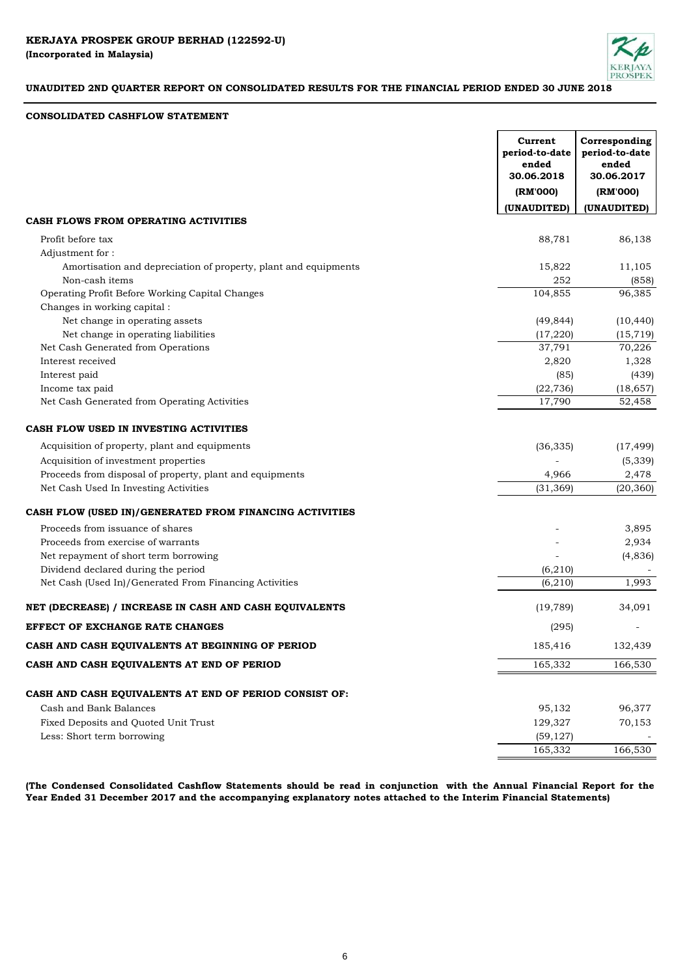

# **CONSOLIDATED CASHFLOW STATEMENT**

|                                                                 | Current<br>period-to-date<br>ended<br>30.06.2018<br>(RM'000) | Corresponding<br>period-to-date<br>ended<br>30.06.2017<br>(RM'000) |
|-----------------------------------------------------------------|--------------------------------------------------------------|--------------------------------------------------------------------|
|                                                                 | <b>(UNAUDITED)</b>                                           | (UNAUDITED)                                                        |
| CASH FLOWS FROM OPERATING ACTIVITIES                            |                                                              |                                                                    |
| Profit before tax                                               | 88,781                                                       | 86,138                                                             |
| Adjustment for:                                                 |                                                              |                                                                    |
| Amortisation and depreciation of property, plant and equipments | 15,822                                                       | 11,105                                                             |
| Non-cash items                                                  | 252                                                          | (858)                                                              |
| Operating Profit Before Working Capital Changes                 | 104,855                                                      | 96,385                                                             |
| Changes in working capital:                                     |                                                              |                                                                    |
| Net change in operating assets                                  | (49, 844)                                                    | (10, 440)                                                          |
| Net change in operating liabilities                             | (17, 220)                                                    | (15, 719)                                                          |
| Net Cash Generated from Operations                              | 37,791                                                       | 70,226                                                             |
| Interest received                                               | 2,820                                                        | 1,328                                                              |
| Interest paid                                                   | (85)                                                         | (439)                                                              |
| Income tax paid                                                 | (22, 736)                                                    | (18, 657)                                                          |
| Net Cash Generated from Operating Activities                    | 17,790                                                       | 52,458                                                             |
| CASH FLOW USED IN INVESTING ACTIVITIES                          |                                                              |                                                                    |
| Acquisition of property, plant and equipments                   | (36, 335)                                                    | (17, 499)                                                          |
| Acquisition of investment properties                            |                                                              | (5, 339)                                                           |
| Proceeds from disposal of property, plant and equipments        | 4,966                                                        | 2,478                                                              |
| Net Cash Used In Investing Activities                           | (31, 369)                                                    | (20, 360)                                                          |
| CASH FLOW (USED IN)/GENERATED FROM FINANCING ACTIVITIES         |                                                              |                                                                    |
| Proceeds from issuance of shares                                |                                                              | 3,895                                                              |
| Proceeds from exercise of warrants                              |                                                              | 2,934                                                              |
| Net repayment of short term borrowing                           |                                                              | (4, 836)                                                           |
| Dividend declared during the period                             | (6, 210)                                                     |                                                                    |
| Net Cash (Used In)/Generated From Financing Activities          | (6, 210)                                                     | 1,993                                                              |
| NET (DECREASE) / INCREASE IN CASH AND CASH EQUIVALENTS          | (19, 789)                                                    | 34,091                                                             |
| EFFECT OF EXCHANGE RATE CHANGES                                 | (295)                                                        |                                                                    |
| CASH AND CASH EQUIVALENTS AT BEGINNING OF PERIOD                | 185,416                                                      | 132,439                                                            |
| CASH AND CASH EQUIVALENTS AT END OF PERIOD                      | 165,332                                                      | 166,530                                                            |
| CASH AND CASH EQUIVALENTS AT END OF PERIOD CONSIST OF:          |                                                              |                                                                    |
| Cash and Bank Balances                                          | 95,132                                                       | 96,377                                                             |
| Fixed Deposits and Quoted Unit Trust                            | 129,327                                                      | 70,153                                                             |
| Less: Short term borrowing                                      | (59, 127)                                                    |                                                                    |
|                                                                 | 165,332                                                      | 166,530                                                            |

(The Condensed Consolidated Cashflow Statements should be read in conjunction with the Annual Financial Report for the **Year Ended 31 December 2017 and the accompanying explanatory notes attached to the Interim Financial Statements)**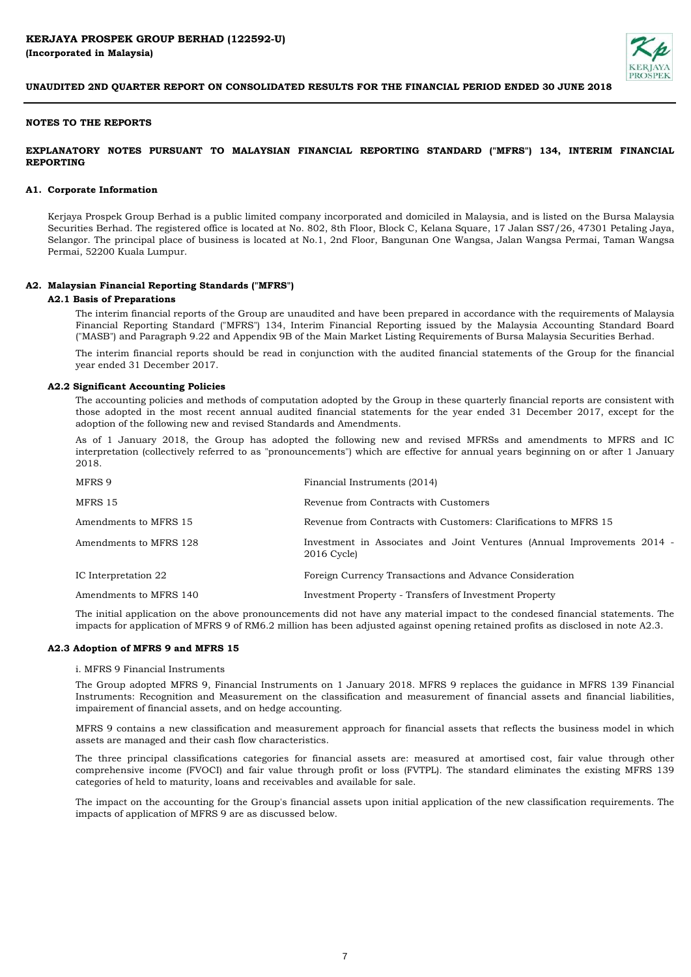

#### **NOTES TO THE REPORTS**

## **EXPLANATORY NOTES PURSUANT TO MALAYSIAN FINANCIAL REPORTING STANDARD ("MFRS") 134, INTERIM FINANCIAL REPORTING**

#### **A1. Corporate Information**

Kerjaya Prospek Group Berhad is a public limited company incorporated and domiciled in Malaysia, and is listed on the Bursa Malaysia Securities Berhad. The registered office is located at No. 802, 8th Floor, Block C, Kelana Square, 17 Jalan SS7/26, 47301 Petaling Jaya, Selangor. The principal place of business is located at No.1, 2nd Floor, Bangunan One Wangsa, Jalan Wangsa Permai, Taman Wangsa Permai, 52200 Kuala Lumpur.

#### **A2. Malaysian Financial Reporting Standards ("MFRS")**

#### **A2.1 Basis of Preparations**

The interim financial reports of the Group are unaudited and have been prepared in accordance with the requirements of Malaysia Financial Reporting Standard ("MFRS") 134, Interim Financial Reporting issued by the Malaysia Accounting Standard Board ("MASB") and Paragraph 9.22 and Appendix 9B of the Main Market Listing Requirements of Bursa Malaysia Securities Berhad.

The interim financial reports should be read in conjunction with the audited financial statements of the Group for the financial year ended 31 December 2017.

#### **A2.2 Significant Accounting Policies**

The accounting policies and methods of computation adopted by the Group in these quarterly financial reports are consistent with those adopted in the most recent annual audited financial statements for the year ended 31 December 2017, except for the adoption of the following new and revised Standards and Amendments.

As of 1 January 2018, the Group has adopted the following new and revised MFRSs and amendments to MFRS and IC interpretation (collectively referred to as "pronouncements") which are effective for annual years beginning on or after 1 January 2018.

| Financial Instruments (2014)                                                                |
|---------------------------------------------------------------------------------------------|
| Revenue from Contracts with Customers                                                       |
| Revenue from Contracts with Customers: Clarifications to MFRS 15                            |
| Investment in Associates and Joint Ventures (Annual Improvements 2014 -<br>$2016$ Cycle $)$ |
| Foreign Currency Transactions and Advance Consideration                                     |
| Investment Property - Transfers of Investment Property                                      |
|                                                                                             |

The initial application on the above pronouncements did not have any material impact to the condesed financial statements. The impacts for application of MFRS 9 of RM6.2 million has been adjusted against opening retained profits as disclosed in note A2.3.

#### **A2.3 Adoption of MFRS 9 and MFRS 15**

#### i. MFRS 9 Financial Instruments

The Group adopted MFRS 9, Financial Instruments on 1 January 2018. MFRS 9 replaces the guidance in MFRS 139 Financial Instruments: Recognition and Measurement on the classification and measurement of financial assets and financial liabilities, impairement of financial assets, and on hedge accounting.

MFRS 9 contains a new classification and measurement approach for financial assets that reflects the business model in which assets are managed and their cash flow characteristics.

The three principal classifications categories for financial assets are: measured at amortised cost, fair value through other comprehensive income (FVOCI) and fair value through profit or loss (FVTPL). The standard eliminates the existing MFRS 139 categories of held to maturity, loans and receivables and available for sale.

The impact on the accounting for the Group's financial assets upon initial application of the new classification requirements. The impacts of application of MFRS 9 are as discussed below.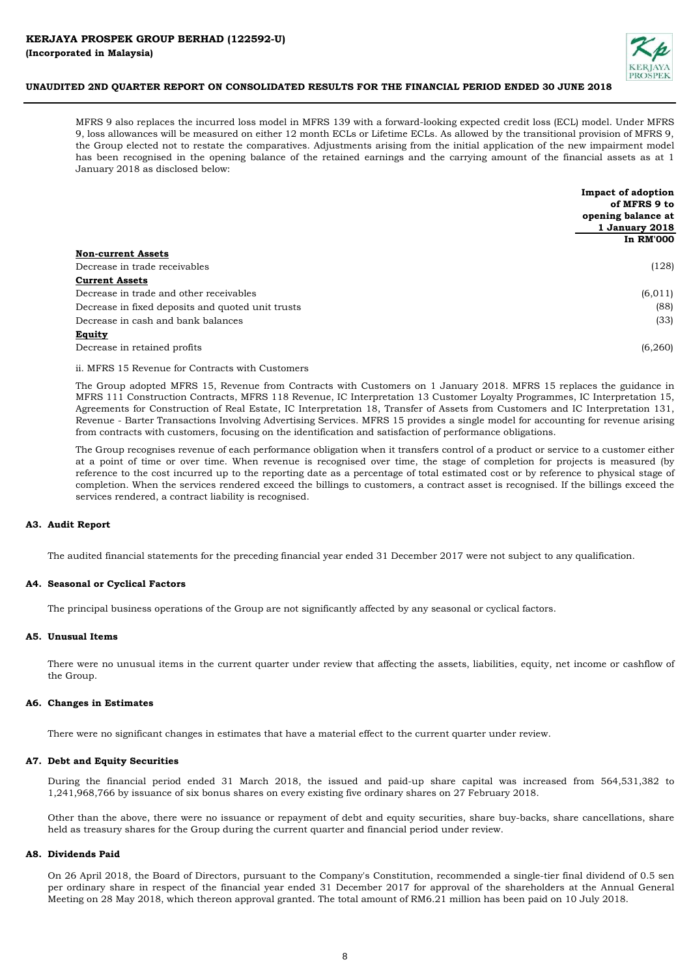

MFRS 9 also replaces the incurred loss model in MFRS 139 with a forward-looking expected credit loss (ECL) model. Under MFRS 9, loss allowances will be measured on either 12 month ECLs or Lifetime ECLs. As allowed by the transitional provision of MFRS 9, the Group elected not to restate the comparatives. Adjustments arising from the initial application of the new impairment model has been recognised in the opening balance of the retained earnings and the carrying amount of the financial assets as at 1 January 2018 as disclosed below:

|                                                   | Impact of adoption |
|---------------------------------------------------|--------------------|
|                                                   | of MFRS 9 to       |
|                                                   | opening balance at |
|                                                   | 1 January 2018     |
|                                                   | <b>In RM'000</b>   |
| <b>Non-current Assets</b>                         |                    |
| Decrease in trade receivables                     | (128)              |
| <b>Current Assets</b>                             |                    |
| Decrease in trade and other receivables           | (6, 011)           |
| Decrease in fixed deposits and quoted unit trusts | (88)               |
| Decrease in cash and bank balances                | (33)               |
| Equity                                            |                    |
| Decrease in retained profits                      | (6,260)            |
|                                                   |                    |

ii. MFRS 15 Revenue for Contracts with Customers

The Group adopted MFRS 15, Revenue from Contracts with Customers on 1 January 2018. MFRS 15 replaces the guidance in MFRS 111 Construction Contracts, MFRS 118 Revenue, IC Interpretation 13 Customer Loyalty Programmes, IC Interpretation 15, Agreements for Construction of Real Estate, IC Interpretation 18, Transfer of Assets from Customers and IC Interpretation 131, Revenue - Barter Transactions Involving Advertising Services. MFRS 15 provides a single model for accounting for revenue arising from contracts with customers, focusing on the identification and satisfaction of performance obligations.

The Group recognises revenue of each performance obligation when it transfers control of a product or service to a customer either at a point of time or over time. When revenue is recognised over time, the stage of completion for projects is measured (by reference to the cost incurred up to the reporting date as a percentage of total estimated cost or by reference to physical stage of completion. When the services rendered exceed the billings to customers, a contract asset is recognised. If the billings exceed the services rendered, a contract liability is recognised.

#### **A3. Audit Report**

The audited financial statements for the preceding financial year ended 31 December 2017 were not subject to any qualification.

#### **A4. Seasonal or Cyclical Factors**

The principal business operations of the Group are not significantly affected by any seasonal or cyclical factors.

#### **A5. Unusual Items**

There were no unusual items in the current quarter under review that affecting the assets, liabilities, equity, net income or cashflow of the Group.

#### **A6. Changes in Estimates**

There were no significant changes in estimates that have a material effect to the current quarter under review.

#### **A7. Debt and Equity Securities**

During the financial period ended 31 March 2018, the issued and paid-up share capital was increased from 564,531,382 to 1,241,968,766 by issuance of six bonus shares on every existing five ordinary shares on 27 February 2018.

Other than the above, there were no issuance or repayment of debt and equity securities, share buy-backs, share cancellations, share held as treasury shares for the Group during the current quarter and financial period under review.

#### **A8. Dividends Paid**

On 26 April 2018, the Board of Directors, pursuant to the Company's Constitution, recommended a single-tier final dividend of 0.5 sen per ordinary share in respect of the financial year ended 31 December 2017 for approval of the shareholders at the Annual General Meeting on 28 May 2018, which thereon approval granted. The total amount of RM6.21 million has been paid on 10 July 2018.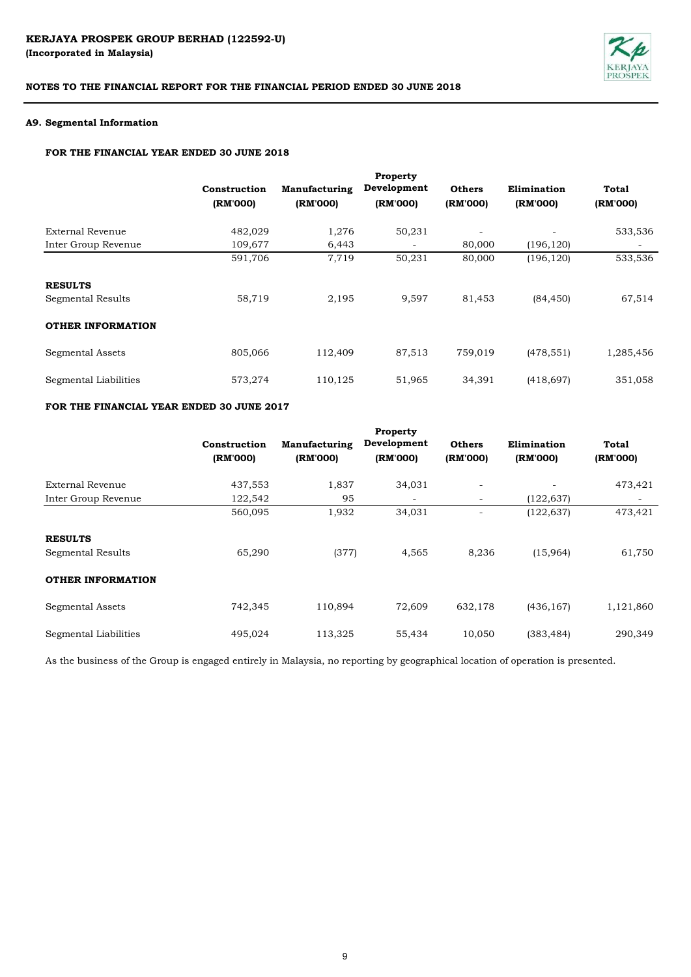

#### **A9. Segmental Information**

# **FOR THE FINANCIAL YEAR ENDED 30 JUNE 2018**

|                          |              |               | Property    |               |             |           |
|--------------------------|--------------|---------------|-------------|---------------|-------------|-----------|
|                          | Construction | Manufacturing | Development | <b>Others</b> | Elimination | Total     |
|                          | (RM'000)     | (RM'000)      | (RM'000)    | (RM'000)      | (RM'000)    | (RM'000)  |
| External Revenue         | 482,029      | 1,276         | 50,231      | ۰             |             | 533,536   |
| Inter Group Revenue      | 109,677      | 6,443         | -           | 80,000        | (196, 120)  |           |
|                          | 591,706      | 7,719         | 50,231      | 80,000        | (196, 120)  | 533,536   |
| <b>RESULTS</b>           |              |               |             |               |             |           |
| Segmental Results        | 58,719       | 2,195         | 9,597       | 81,453        | (84, 450)   | 67,514    |
| <b>OTHER INFORMATION</b> |              |               |             |               |             |           |
| Segmental Assets         | 805,066      | 112,409       | 87,513      | 759,019       | (478, 551)  | 1,285,456 |
| Segmental Liabilities    | 573,274      | 110,125       | 51,965      | 34,391        | (418, 697)  | 351,058   |

# **FOR THE FINANCIAL YEAR ENDED 30 JUNE 2017**

|                          | Construction<br>(RM'000) | Manufacturing<br>(RM'000) | Development<br>(RM'000)  | <b>Others</b><br>(RM'000) | Elimination<br>(RM'000) | Total<br>(RM'000) |
|--------------------------|--------------------------|---------------------------|--------------------------|---------------------------|-------------------------|-------------------|
|                          |                          |                           |                          |                           |                         |                   |
| External Revenue         | 437,553                  | 1,837                     | 34,031                   | $\overline{\phantom{0}}$  |                         | 473,421           |
| Inter Group Revenue      | 122,542                  | 95                        | $\overline{\phantom{m}}$ | $\overline{\phantom{a}}$  | (122, 637)              |                   |
|                          | 560,095                  | 1,932                     | 34,031                   |                           | (122, 637)              | 473,421           |
| <b>RESULTS</b>           |                          |                           |                          |                           |                         |                   |
| Segmental Results        | 65,290                   | (377)                     | 4,565                    | 8,236                     | (15,964)                | 61,750            |
| <b>OTHER INFORMATION</b> |                          |                           |                          |                           |                         |                   |
| Segmental Assets         | 742,345                  | 110,894                   | 72,609                   | 632,178                   | (436, 167)              | 1,121,860         |
| Segmental Liabilities    | 495,024                  | 113,325                   | 55,434                   | 10,050                    | (383, 484)              | 290,349           |

As the business of the Group is engaged entirely in Malaysia, no reporting by geographical location of operation is presented.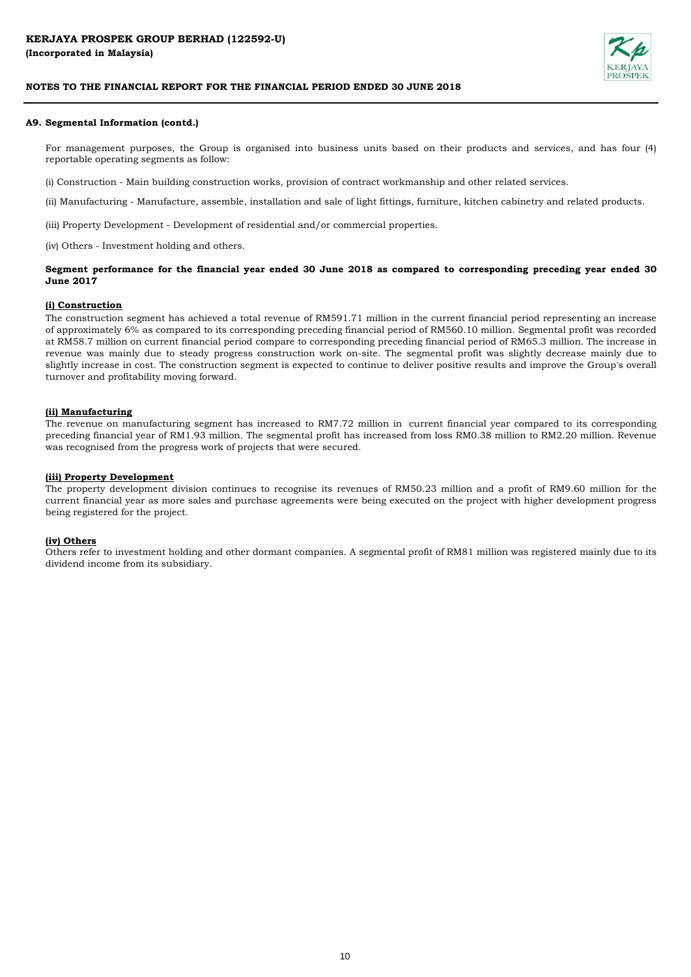

#### **A9. Segmental Information (contd.)**

For management purposes, the Group is organised into business units based on their products and services, and has four (4) reportable operating segments as follow:

(i) Construction - Main building construction works, provision of contract workmanship and other related services.

(ii) Manufacturing - Manufacture, assemble, installation and sale of light fittings, furniture, kitchen cabinetry and related products.

(iii) Property Development - Development of residential and/or commercial properties.

(iv) Others - Investment holding and others.

#### Segment performance for the financial year ended 30 June 2018 as compared to corresponding preceding year ended 30 **June 2017**

#### **(i) Construction**

The construction segment has achieved a total revenue of RM591.71 million in the current financial period representing an increase of approximately 6% as compared to its corresponding preceding financial period of RM560.10 million. Segmental profit was recorded at RM58.7 million on current financial period compare to corresponding preceding financial period of RM65.3 million. The increase in revenue was mainly due to steady progress construction work on-site. The segmental profit was slightly decrease mainly due to slightly increase in cost. The construction segment is expected to continue to deliver positive results and improve the Group's overall turnover and profitability moving forward.

#### **(ii) Manufacturing**

The revenue on manufacturing segment has increased to RM7.72 million in current financial year compared to its corresponding preceding financial year of RM1.93 million. The segmental profit has increased from loss RM0.38 million to RM2.20 million. Revenue was recognised from the progress work of projects that were secured.

#### **(iii) Property Development**

The property development division continues to recognise its revenues of RM50.23 million and a profit of RM9.60 million for the current financial year as more sales and purchase agreements were being executed on the project with higher development progress being registered for the project.

#### **(iv) Others**

Others refer to investment holding and other dormant companies. A segmental profit of RM81 million was registered mainly due to its dividend income from its subsidiary.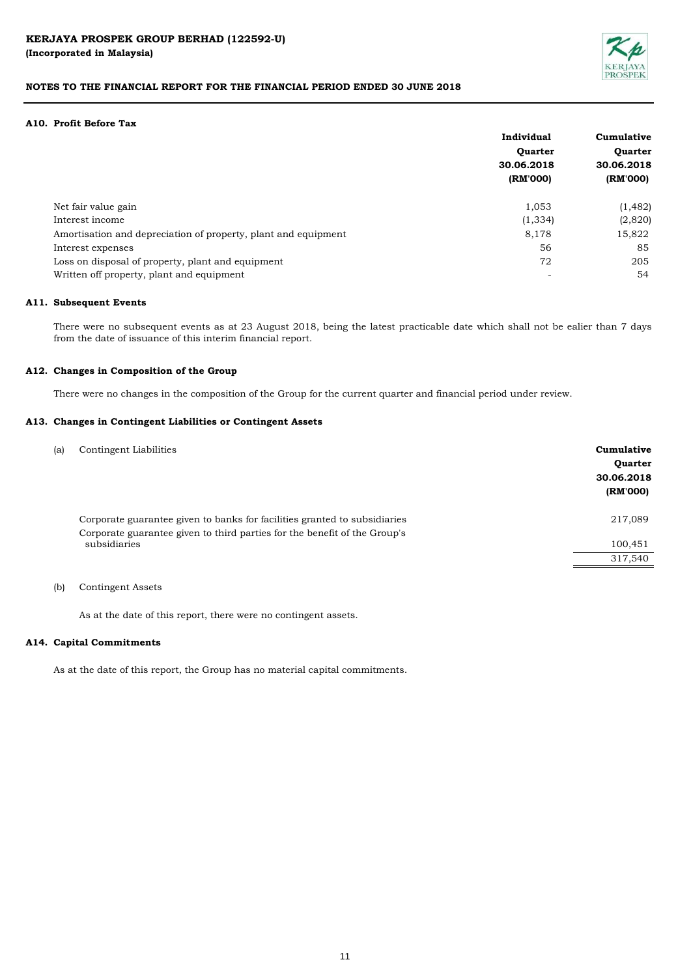

#### **A10. Profit Before Tax**

|                                                                | Individual     | Cumulative<br><b>Ouarter</b> |  |
|----------------------------------------------------------------|----------------|------------------------------|--|
|                                                                | <b>Quarter</b> |                              |  |
|                                                                | 30.06.2018     | 30.06.2018                   |  |
|                                                                | (RM'000)       | (RM'000)                     |  |
| Net fair value gain                                            | 1,053          | (1, 482)                     |  |
| Interest income                                                | (1, 334)       | (2,820)                      |  |
| Amortisation and depreciation of property, plant and equipment | 8,178          | 15,822                       |  |
| Interest expenses                                              | 56             | 85                           |  |
| Loss on disposal of property, plant and equipment              | 72             | 205                          |  |
| Written off property, plant and equipment                      | -              | 54                           |  |

#### **A11. Subsequent Events**

There were no subsequent events as at 23 August 2018, being the latest practicable date which shall not be ealier than 7 days from the date of issuance of this interim financial report.

#### **A12. Changes in Composition of the Group**

There were no changes in the composition of the Group for the current quarter and financial period under review.

#### **A13. Changes in Contingent Liabilities or Contingent Assets**

| Corporate guarantee given to banks for facilities granted to subsidiaries<br>217,089<br>Corporate guarantee given to third parties for the benefit of the Group's<br>subsidiaries<br>100,451<br>317,540 | (a) | Contingent Liabilities | Cumulative<br><b>Ouarter</b><br>30.06.2018<br>(RM'000) |
|---------------------------------------------------------------------------------------------------------------------------------------------------------------------------------------------------------|-----|------------------------|--------------------------------------------------------|
|                                                                                                                                                                                                         |     |                        |                                                        |
|                                                                                                                                                                                                         |     |                        |                                                        |
|                                                                                                                                                                                                         |     |                        |                                                        |

#### (b) Contingent Assets

As at the date of this report, there were no contingent assets.

#### **A14. Capital Commitments**

As at the date of this report, the Group has no material capital commitments.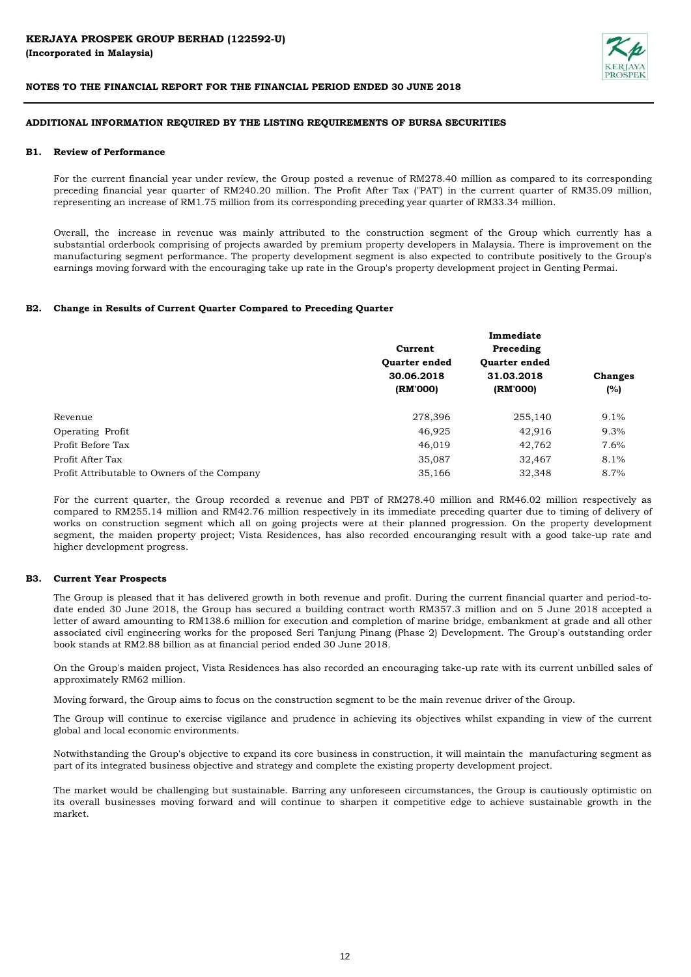

#### **ADDITIONAL INFORMATION REQUIRED BY THE LISTING REQUIREMENTS OF BURSA SECURITIES**

#### **B1. Review of Performance**

For the current financial year under review, the Group posted a revenue of RM278.40 million as compared to its corresponding preceding financial year quarter of RM240.20 million. The Profit After Tax ("PAT') in the current quarter of RM35.09 million, representing an increase of RM1.75 million from its corresponding preceding year quarter of RM33.34 million.

Overall, the increase in revenue was mainly attributed to the construction segment of the Group which currently has a substantial orderbook comprising of projects awarded by premium property developers in Malaysia. There is improvement on the manufacturing segment performance. The property development segment is also expected to contribute positively to the Group's earnings moving forward with the encouraging take up rate in the Group's property development project in Genting Permai.

#### **B2. Change in Results of Current Quarter Compared to Preceding Quarter**

|                                              |                      | Immediate            |                |
|----------------------------------------------|----------------------|----------------------|----------------|
|                                              | Current              | Preceding            |                |
|                                              | <b>Quarter ended</b> | <b>Quarter ended</b> |                |
|                                              | 30.06.2018           | 31.03.2018           | <b>Changes</b> |
|                                              | (RM'000)             | (RM'000)             | (%)            |
| Revenue                                      | 278,396              | 255,140              | 9.1%           |
| Operating Profit                             | 46,925               | 42,916               | 9.3%           |
| Profit Before Tax                            | 46,019               | 42,762               | 7.6%           |
| Profit After Tax                             | 35,087               | 32,467               | 8.1%           |
| Profit Attributable to Owners of the Company | 35,166               | 32,348               | 8.7%           |

For the current quarter, the Group recorded a revenue and PBT of RM278.40 million and RM46.02 million respectively as compared to RM255.14 million and RM42.76 million respectively in its immediate preceding quarter due to timing of delivery of works on construction segment which all on going projects were at their planned progression. On the property development segment, the maiden property project; Vista Residences, has also recorded encouranging result with a good take-up rate and higher development progress.

#### **B3. Current Year Prospects**

The Group is pleased that it has delivered growth in both revenue and profit. During the current financial quarter and period-todate ended 30 June 2018, the Group has secured a building contract worth RM357.3 million and on 5 June 2018 accepted a letter of award amounting to RM138.6 million for execution and completion of marine bridge, embankment at grade and all other associated civil engineering works for the proposed Seri Tanjung Pinang (Phase 2) Development. The Group's outstanding order book stands at RM2.88 billion as at financial period ended 30 June 2018.

On the Group's maiden project, Vista Residences has also recorded an encouraging take-up rate with its current unbilled sales of approximately RM62 million.

Moving forward, the Group aims to focus on the construction segment to be the main revenue driver of the Group.

The Group will continue to exercise vigilance and prudence in achieving its objectives whilst expanding in view of the current global and local economic environments.

Notwithstanding the Group's objective to expand its core business in construction, it will maintain the manufacturing segment as part of its integrated business objective and strategy and complete the existing property development project.

The market would be challenging but sustainable. Barring any unforeseen circumstances, the Group is cautiously optimistic on its overall businesses moving forward and will continue to sharpen it competitive edge to achieve sustainable growth in the market.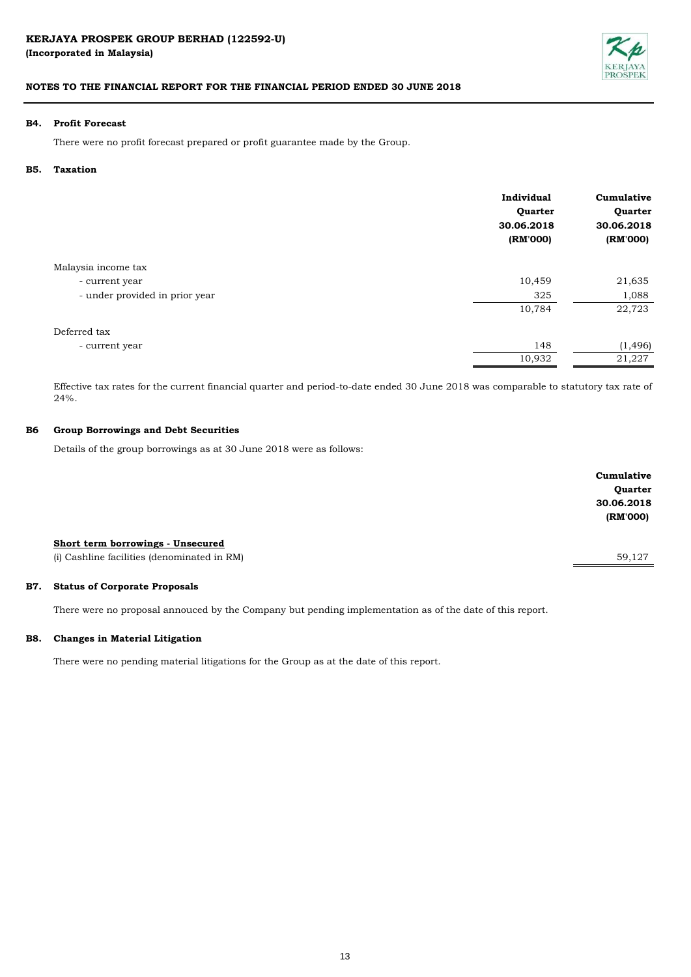**(Incorporated in Malaysia)** 



# **NOTES TO THE FINANCIAL REPORT FOR THE FINANCIAL PERIOD ENDED 30 JUNE 2018**

#### **B4. Profit Forecast**

There were no profit forecast prepared or profit guarantee made by the Group.

#### **B5. Taxation**

|                                | Individual<br>Quarter<br>30.06.2018<br>(RM'000) | Cumulative<br>Quarter<br>30.06.2018<br>(RM'000) |
|--------------------------------|-------------------------------------------------|-------------------------------------------------|
| Malaysia income tax            |                                                 |                                                 |
| - current year                 | 10,459                                          | 21,635                                          |
| - under provided in prior year | 325                                             | 1,088                                           |
|                                | 10,784                                          | 22,723                                          |
| Deferred tax                   |                                                 |                                                 |
| - current year                 | 148                                             | (1, 496)                                        |
|                                | 10,932                                          | 21,227                                          |

Effective tax rates for the current financial quarter and period-to-date ended 30 June 2018 was comparable to statutory tax rate of 24%.

#### **B6 Group Borrowings and Debt Securities**

Details of the group borrowings as at 30 June 2018 were as follows:

|                                             | Cumulative     |
|---------------------------------------------|----------------|
|                                             | <b>Quarter</b> |
|                                             | 30.06.2018     |
|                                             | (RM'000)       |
|                                             |                |
| Short term borrowings - Unsecured           |                |
| (i) Cashline facilities (denominated in RM) | 59,127         |
|                                             |                |

#### **B7. Status of Corporate Proposals**

There were no proposal annouced by the Company but pending implementation as of the date of this report.

#### **B8. Changes in Material Litigation**

There were no pending material litigations for the Group as at the date of this report.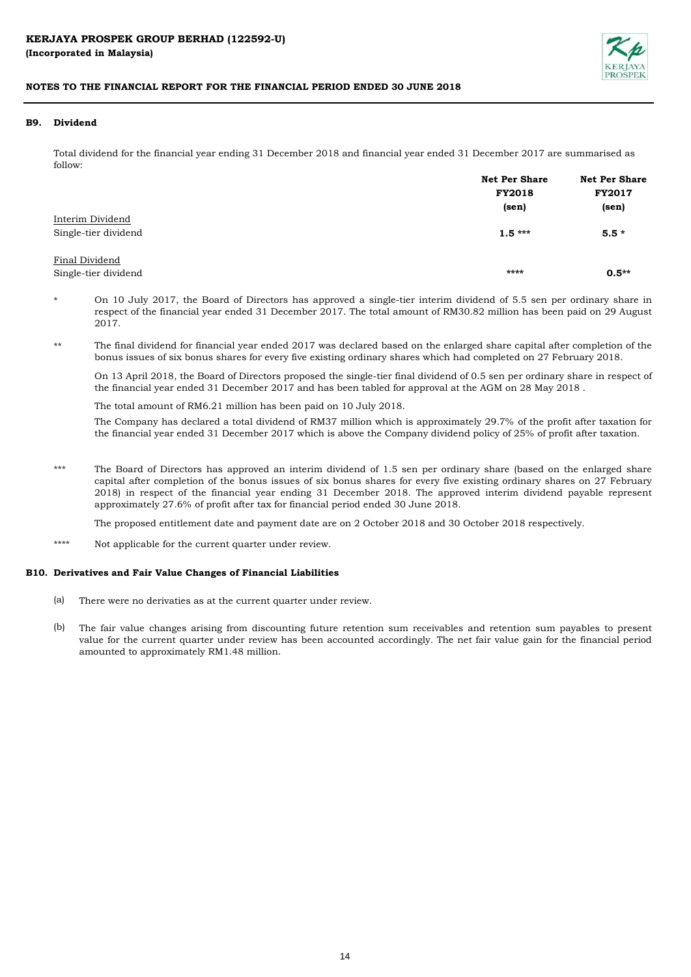

## **B9. Dividend**

Total dividend for the financial year ending 31 December 2018 and financial year ended 31 December 2017 are summarised as follow:

|                      | <b>Net Per Share</b> | <b>Net Per Share</b> |  |
|----------------------|----------------------|----------------------|--|
|                      | <b>FY2018</b>        | <b>FY2017</b>        |  |
|                      | (sen)                | (sen)                |  |
| Interim Dividend     |                      |                      |  |
| Single-tier dividend | $1.5***$             | $5.5*$               |  |
| Final Dividend       |                      |                      |  |
| Single-tier dividend | ****                 | $0.5**$              |  |

\* On 10 July 2017, the Board of Directors has approved a single-tier interim dividend of 5.5 sen per ordinary share in respect of the financial year ended 31 December 2017. The total amount of RM30.82 million has been paid on 29 August 2017.

\*\* The final dividend for financial year ended 2017 was declared based on the enlarged share capital after completion of the bonus issues of six bonus shares for every five existing ordinary shares which had completed on 27 February 2018.

On 13 April 2018, the Board of Directors proposed the single-tier final dividend of 0.5 sen per ordinary share in respect of the financial year ended 31 December 2017 and has been tabled for approval at the AGM on 28 May 2018 .

The total amount of RM6.21 million has been paid on 10 July 2018.

The Company has declared a total dividend of RM37 million which is approximately 29.7% of the profit after taxation for the financial year ended 31 December 2017 which is above the Company dividend policy of 25% of profit after taxation.

\*\*\* The Board of Directors has approved an interim dividend of 1.5 sen per ordinary share (based on the enlarged share capital after completion of the bonus issues of six bonus shares for every five existing ordinary shares on 27 February 2018) in respect of the financial year ending 31 December 2018. The approved interim dividend payable represent approximately 27.6% of profit after tax for financial period ended 30 June 2018.

The proposed entitlement date and payment date are on 2 October 2018 and 30 October 2018 respectively.

\*\*\*\* Not applicable for the current quarter under review.

#### **B10. Derivatives and Fair Value Changes of Financial Liabilities**

- (a) There were no derivaties as at the current quarter under review.
- (b) The fair value changes arising from discounting future retention sum receivables and retention sum payables to present value for the current quarter under review has been accounted accordingly. The net fair value gain for the financial period amounted to approximately RM1.48 million.